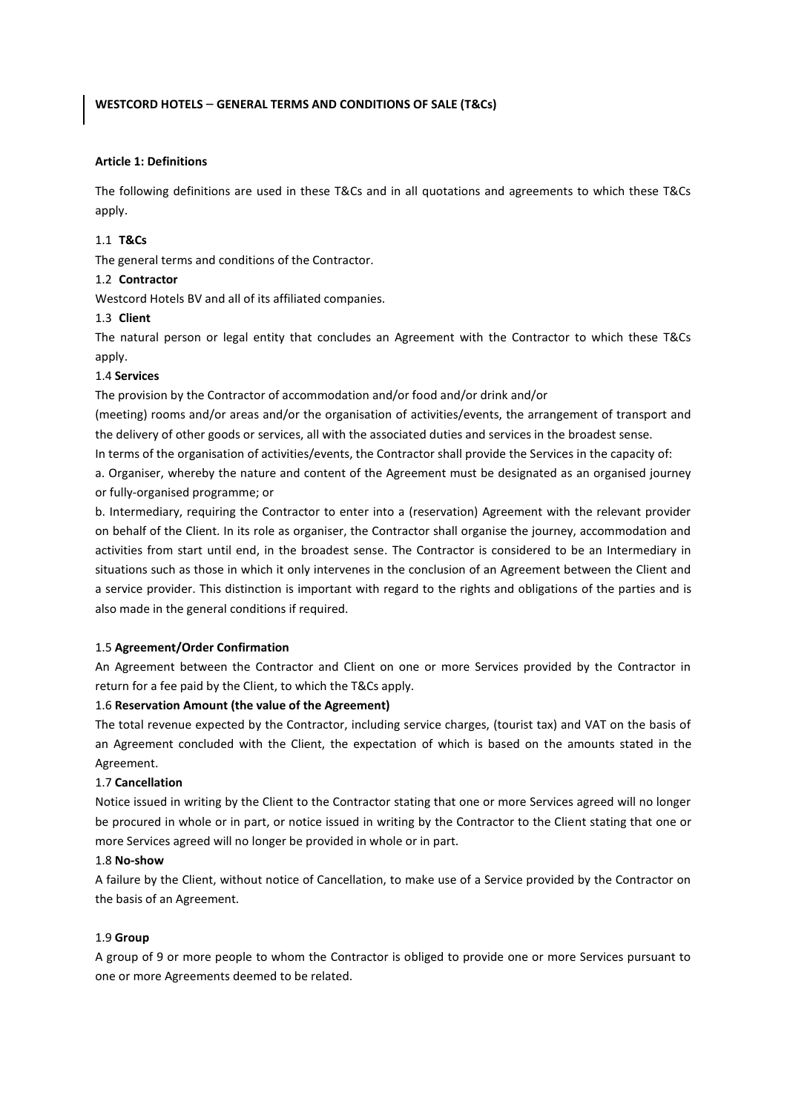## **WESTCORD HOTELS** – **GENERAL TERMS AND CONDITIONS OF SALE (T&Cs)**

#### **Article 1: Definitions**

The following definitions are used in these T&Cs and in all quotations and agreements to which these T&Cs apply.

### 1.1 **T&Cs**

The general terms and conditions of the Contractor.

#### 1.2 **Contractor**

Westcord Hotels BV and all of its affiliated companies.

## 1.3 **Client**

The natural person or legal entity that concludes an Agreement with the Contractor to which these T&Cs apply.

#### 1.4 **Services**

The provision by the Contractor of accommodation and/or food and/or drink and/or

(meeting) rooms and/or areas and/or the organisation of activities/events, the arrangement of transport and the delivery of other goods or services, all with the associated duties and services in the broadest sense.

In terms of the organisation of activities/events, the Contractor shall provide the Services in the capacity of:

a. Organiser, whereby the nature and content of the Agreement must be designated as an organised journey or fully-organised programme; or

b. Intermediary, requiring the Contractor to enter into a (reservation) Agreement with the relevant provider on behalf of the Client. In its role as organiser, the Contractor shall organise the journey, accommodation and activities from start until end, in the broadest sense. The Contractor is considered to be an Intermediary in situations such as those in which it only intervenes in the conclusion of an Agreement between the Client and a service provider. This distinction is important with regard to the rights and obligations of the parties and is also made in the general conditions if required.

#### 1.5 **Agreement/Order Confirmation**

An Agreement between the Contractor and Client on one or more Services provided by the Contractor in return for a fee paid by the Client, to which the T&Cs apply.

#### 1.6 **Reservation Amount (the value of the Agreement)**

The total revenue expected by the Contractor, including service charges, (tourist tax) and VAT on the basis of an Agreement concluded with the Client, the expectation of which is based on the amounts stated in the Agreement.

#### 1.7 **Cancellation**

Notice issued in writing by the Client to the Contractor stating that one or more Services agreed will no longer be procured in whole or in part, or notice issued in writing by the Contractor to the Client stating that one or more Services agreed will no longer be provided in whole or in part.

## 1.8 **No-show**

A failure by the Client, without notice of Cancellation, to make use of a Service provided by the Contractor on the basis of an Agreement.

#### 1.9 **Group**

A group of 9 or more people to whom the Contractor is obliged to provide one or more Services pursuant to one or more Agreements deemed to be related.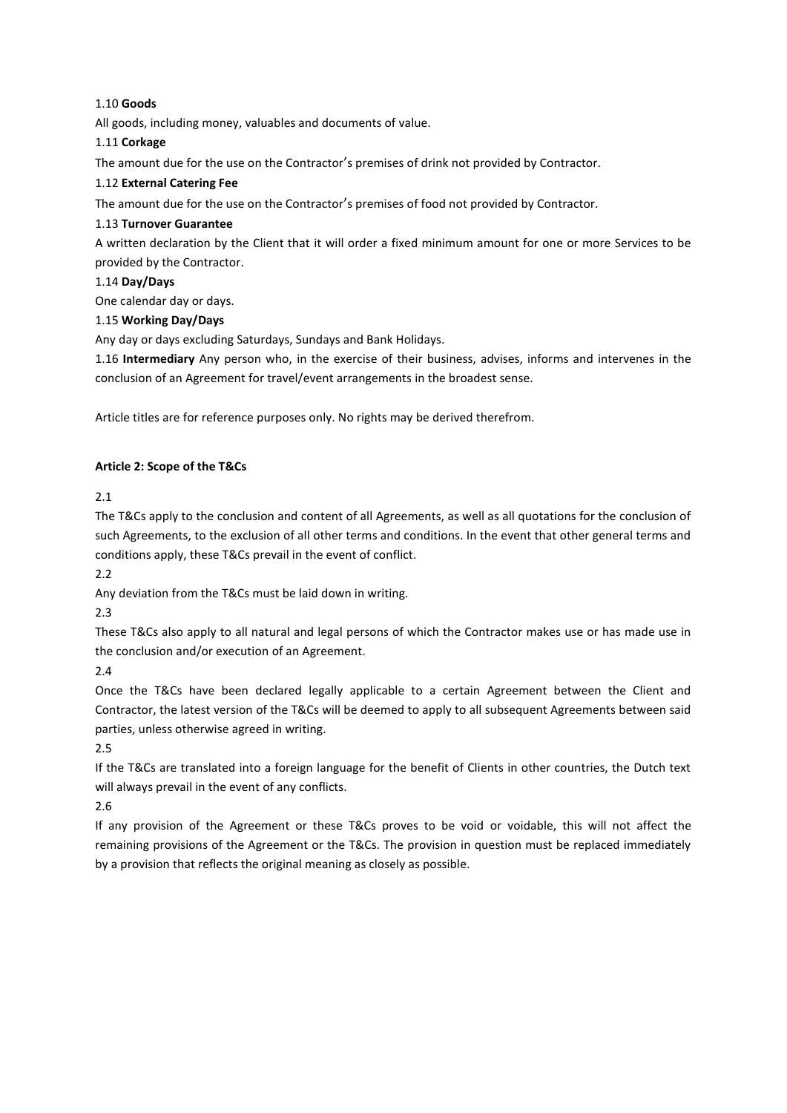# 1.10 **Goods**

All goods, including money, valuables and documents of value.

# 1.11 **Corkage**

The amount due for the use on the Contractor's premises of drink not provided by Contractor.

# 1.12 **External Catering Fee**

The amount due for the use on the Contractor's premises of food not provided by Contractor.

# 1.13 **Turnover Guarantee**

A written declaration by the Client that it will order a fixed minimum amount for one or more Services to be provided by the Contractor.

# 1.14 **Day/Days**

One calendar day or days.

# 1.15 **Working Day/Days**

Any day or days excluding Saturdays, Sundays and Bank Holidays.

1.16 **Intermediary** Any person who, in the exercise of their business, advises, informs and intervenes in the conclusion of an Agreement for travel/event arrangements in the broadest sense.

Article titles are for reference purposes only. No rights may be derived therefrom.

# **Article 2: Scope of the T&Cs**

2.1

The T&Cs apply to the conclusion and content of all Agreements, as well as all quotations for the conclusion of such Agreements, to the exclusion of all other terms and conditions. In the event that other general terms and conditions apply, these T&Cs prevail in the event of conflict.

2.2

Any deviation from the T&Cs must be laid down in writing.

2.3

These T&Cs also apply to all natural and legal persons of which the Contractor makes use or has made use in the conclusion and/or execution of an Agreement.

2.4

Once the T&Cs have been declared legally applicable to a certain Agreement between the Client and Contractor, the latest version of the T&Cs will be deemed to apply to all subsequent Agreements between said parties, unless otherwise agreed in writing.

2.5

If the T&Cs are translated into a foreign language for the benefit of Clients in other countries, the Dutch text will always prevail in the event of any conflicts.

2.6

If any provision of the Agreement or these T&Cs proves to be void or voidable, this will not affect the remaining provisions of the Agreement or the T&Cs. The provision in question must be replaced immediately by a provision that reflects the original meaning as closely as possible.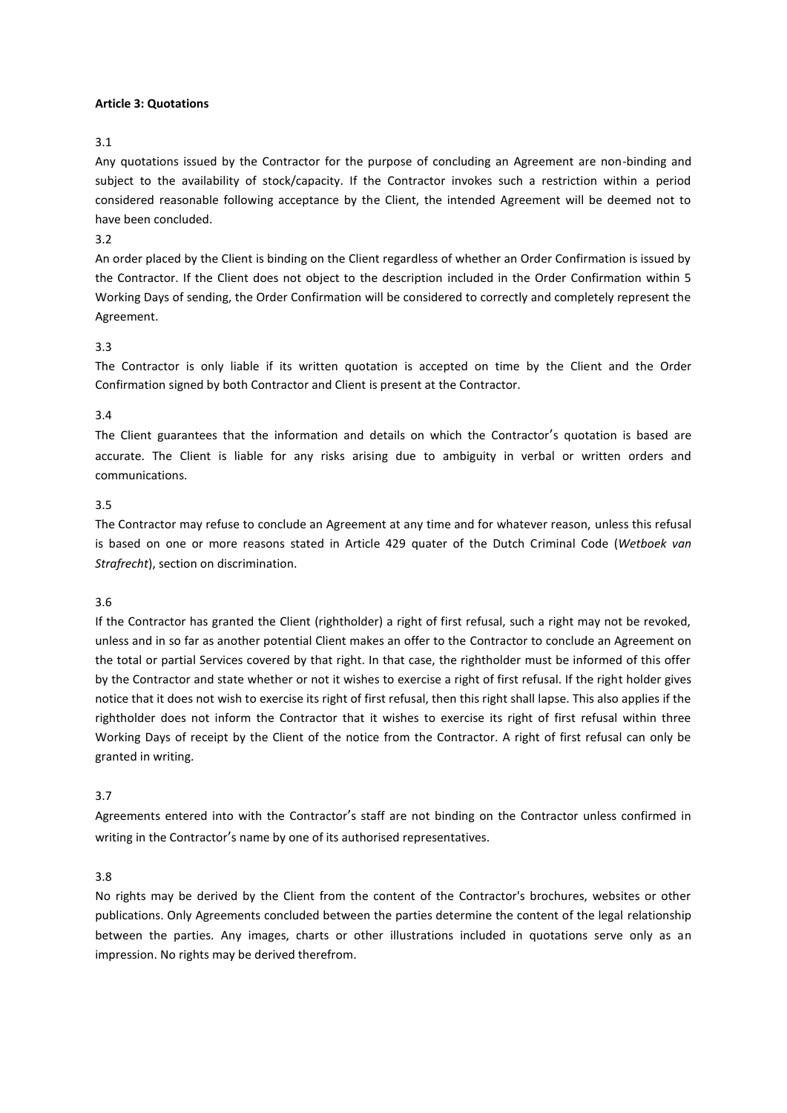## **Article 3: Quotations**

### 3.1

Any quotations issued by the Contractor for the purpose of concluding an Agreement are non-binding and subject to the availability of stock/capacity. If the Contractor invokes such a restriction within a period considered reasonable following acceptance by the Client, the intended Agreement will be deemed not to have been concluded.

## 3.2

An order placed by the Client is binding on the Client regardless of whether an Order Confirmation is issued by the Contractor. If the Client does not object to the description included in the Order Confirmation within 5 Working Days of sending, the Order Confirmation will be considered to correctly and completely represent the Agreement.

## 3.3

The Contractor is only liable if its written quotation is accepted on time by the Client and the Order Confirmation signed by both Contractor and Client is present at the Contractor.

#### 3.4

The Client guarantees that the information and details on which the Contractor's quotation is based are accurate. The Client is liable for any risks arising due to ambiguity in verbal or written orders and communications.

#### 3.5

The Contractor may refuse to conclude an Agreement at any time and for whatever reason, unless this refusal is based on one or more reasons stated in Article 429 quater of the Dutch Criminal Code (*Wetboek van Strafrecht*), section on discrimination.

## 3.6

If the Contractor has granted the Client (rightholder) a right of first refusal, such a right may not be revoked, unless and in so far as another potential Client makes an offer to the Contractor to conclude an Agreement on the total or partial Services covered by that right. In that case, the rightholder must be informed of this offer by the Contractor and state whether or not it wishes to exercise a right of first refusal. If the right holder gives notice that it does not wish to exercise its right of first refusal, then this right shall lapse. This also applies if the rightholder does not inform the Contractor that it wishes to exercise its right of first refusal within three Working Days of receipt by the Client of the notice from the Contractor. A right of first refusal can only be granted in writing.

## 3.7

Agreements entered into with the Contractor's staff are not binding on the Contractor unless confirmed in writing in the Contractor's name by one of its authorised representatives.

## 3.8

No rights may be derived by the Client from the content of the Contractor's brochures, websites or other publications. Only Agreements concluded between the parties determine the content of the legal relationship between the parties. Any images, charts or other illustrations included in quotations serve only as an impression. No rights may be derived therefrom.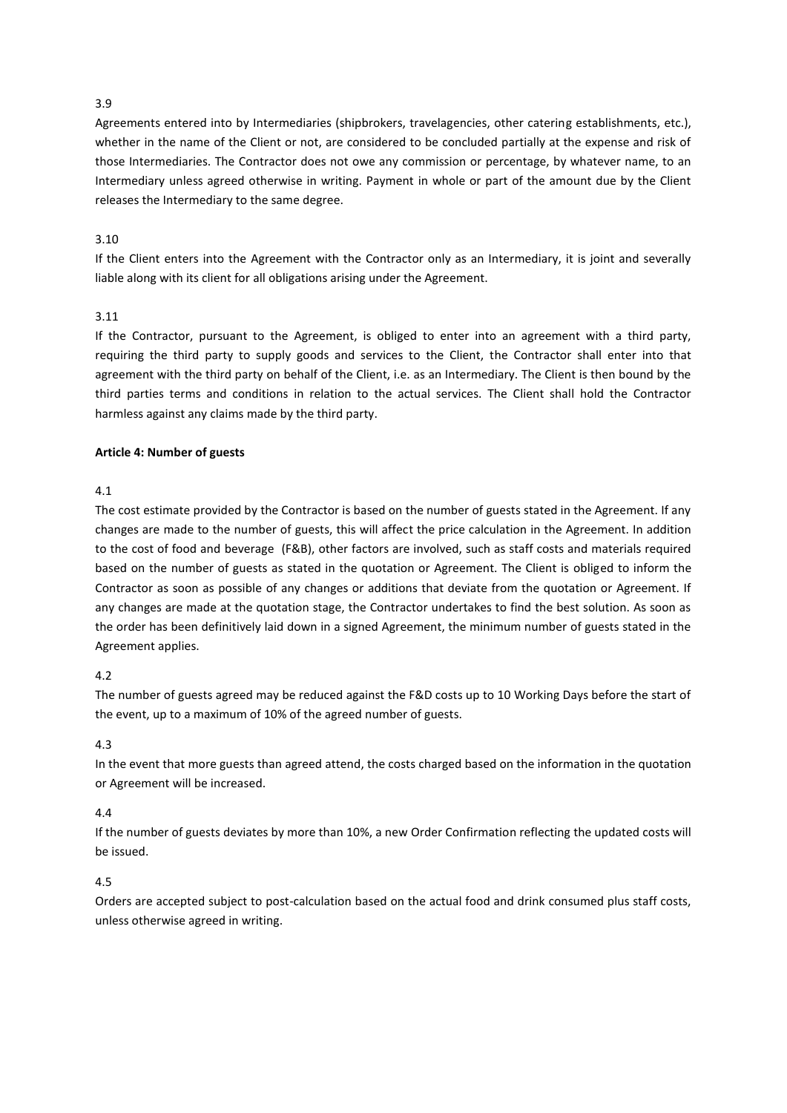Agreements entered into by Intermediaries (shipbrokers, travelagencies, other catering establishments, etc.), whether in the name of the Client or not, are considered to be concluded partially at the expense and risk of those Intermediaries. The Contractor does not owe any commission or percentage, by whatever name, to an Intermediary unless agreed otherwise in writing. Payment in whole or part of the amount due by the Client releases the Intermediary to the same degree.

# 3.10

If the Client enters into the Agreement with the Contractor only as an Intermediary, it is joint and severally liable along with its client for all obligations arising under the Agreement.

# 3.11

If the Contractor, pursuant to the Agreement, is obliged to enter into an agreement with a third party, requiring the third party to supply goods and services to the Client, the Contractor shall enter into that agreement with the third party on behalf of the Client, i.e. as an Intermediary. The Client is then bound by the third parties terms and conditions in relation to the actual services. The Client shall hold the Contractor harmless against any claims made by the third party.

# **Article 4: Number of guests**

# 4.1

The cost estimate provided by the Contractor is based on the number of guests stated in the Agreement. If any changes are made to the number of guests, this will affect the price calculation in the Agreement. In addition to the cost of food and beverage (F&B), other factors are involved, such as staff costs and materials required based on the number of guests as stated in the quotation or Agreement. The Client is obliged to inform the Contractor as soon as possible of any changes or additions that deviate from the quotation or Agreement. If any changes are made at the quotation stage, the Contractor undertakes to find the best solution. As soon as the order has been definitively laid down in a signed Agreement, the minimum number of guests stated in the Agreement applies.

# 4.2

The number of guests agreed may be reduced against the F&D costs up to 10 Working Days before the start of the event, up to a maximum of 10% of the agreed number of guests.

## 4.3

In the event that more guests than agreed attend, the costs charged based on the information in the quotation or Agreement will be increased.

## 4.4

If the number of guests deviates by more than 10%, a new Order Confirmation reflecting the updated costs will be issued.

# 4.5

Orders are accepted subject to post-calculation based on the actual food and drink consumed plus staff costs, unless otherwise agreed in writing.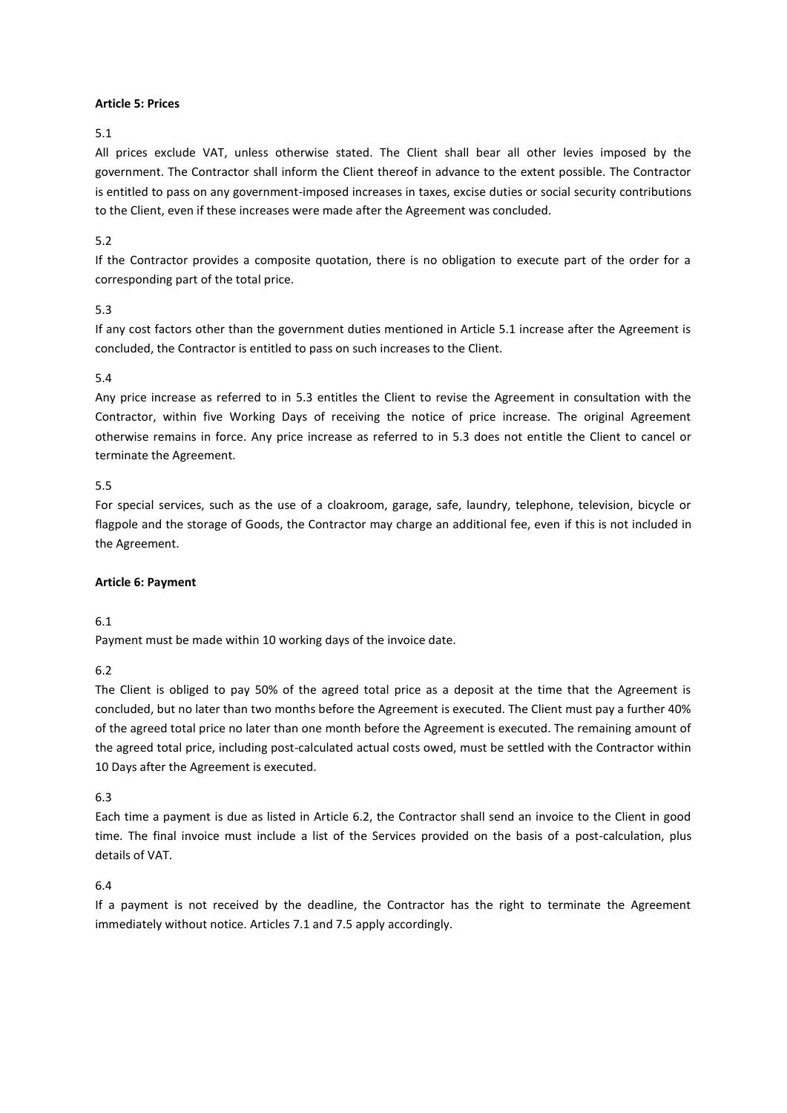## **Article 5: Prices**

5.1

All prices exclude VAT, unless otherwise stated. The Client shall bear all other levies imposed by the government. The Contractor shall inform the Client thereof in advance to the extent possible. The Contractor is entitled to pass on any government-imposed increases in taxes, excise duties or social security contributions to the Client, even if these increases were made after the Agreement was concluded.

# 5.2

If the Contractor provides a composite quotation, there is no obligation to execute part of the order for a corresponding part of the total price.

# 5.3

If any cost factors other than the government duties mentioned in Article 5.1 increase after the Agreement is concluded, the Contractor is entitled to pass on such increases to the Client.

# 5.4

Any price increase as referred to in 5.3 entitles the Client to revise the Agreement in consultation with the Contractor, within five Working Days of receiving the notice of price increase. The original Agreement otherwise remains in force. Any price increase as referred to in 5.3 does not entitle the Client to cancel or terminate the Agreement.

# 5.5

For special services, such as the use of a cloakroom, garage, safe, laundry, telephone, television, bicycle or flagpole and the storage of Goods, the Contractor may charge an additional fee, even if this is not included in the Agreement.

# **Article 6: Payment**

# 6.1

Payment must be made within 10 working days of the invoice date.

# 6.2

The Client is obliged to pay 50% of the agreed total price as a deposit at the time that the Agreement is concluded, but no later than two months before the Agreement is executed. The Client must pay a further 40% of the agreed total price no later than one month before the Agreement is executed. The remaining amount of the agreed total price, including post-calculated actual costs owed, must be settled with the Contractor within 10 Days after the Agreement is executed.

# 6.3

Each time a payment is due as listed in Article 6.2, the Contractor shall send an invoice to the Client in good time. The final invoice must include a list of the Services provided on the basis of a post-calculation, plus details of VAT.

# 6.4

If a payment is not received by the deadline, the Contractor has the right to terminate the Agreement immediately without notice. Articles 7.1 and 7.5 apply accordingly.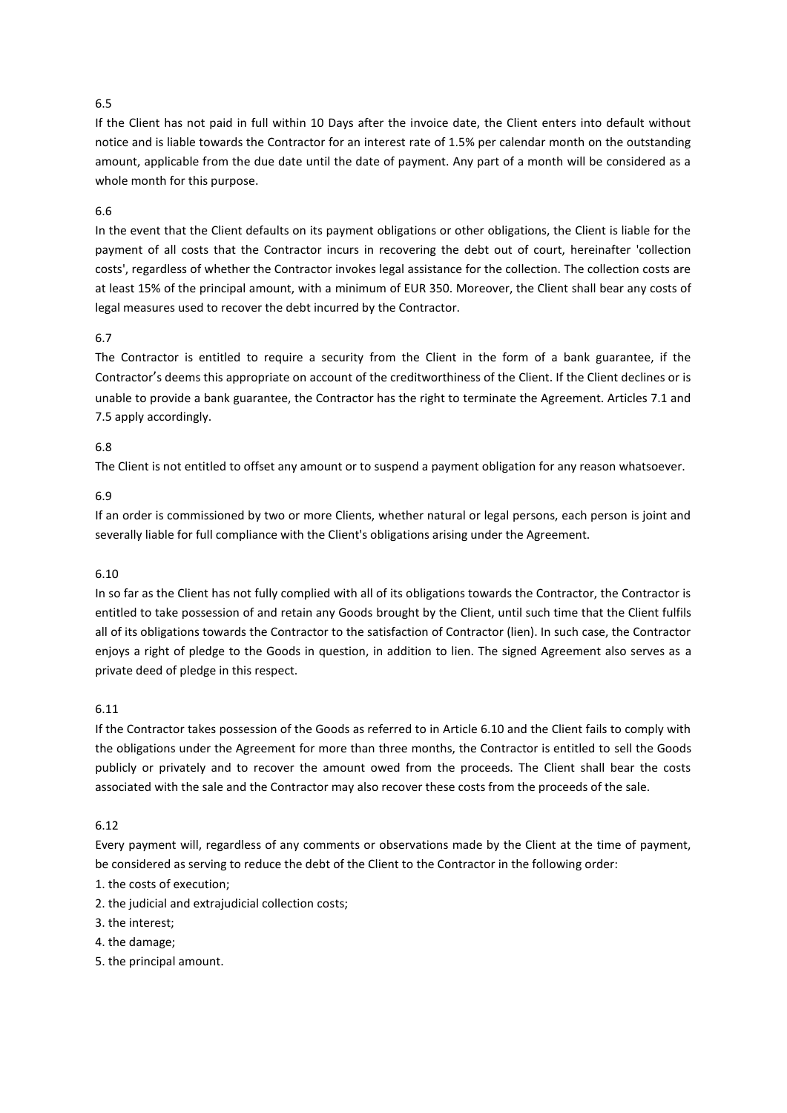If the Client has not paid in full within 10 Days after the invoice date, the Client enters into default without notice and is liable towards the Contractor for an interest rate of 1.5% per calendar month on the outstanding amount, applicable from the due date until the date of payment. Any part of a month will be considered as a whole month for this purpose.

## 6.6

In the event that the Client defaults on its payment obligations or other obligations, the Client is liable for the payment of all costs that the Contractor incurs in recovering the debt out of court, hereinafter 'collection costs', regardless of whether the Contractor invokes legal assistance for the collection. The collection costs are at least 15% of the principal amount, with a minimum of EUR 350. Moreover, the Client shall bear any costs of legal measures used to recover the debt incurred by the Contractor.

# 6.7

The Contractor is entitled to require a security from the Client in the form of a bank guarantee, if the Contractor's deems this appropriate on account of the creditworthiness of the Client. If the Client declines or is unable to provide a bank guarantee, the Contractor has the right to terminate the Agreement. Articles 7.1 and 7.5 apply accordingly.

# 6.8

The Client is not entitled to offset any amount or to suspend a payment obligation for any reason whatsoever.

## 6.9

If an order is commissioned by two or more Clients, whether natural or legal persons, each person is joint and severally liable for full compliance with the Client's obligations arising under the Agreement.

## 6.10

In so far as the Client has not fully complied with all of its obligations towards the Contractor, the Contractor is entitled to take possession of and retain any Goods brought by the Client, until such time that the Client fulfils all of its obligations towards the Contractor to the satisfaction of Contractor (lien). In such case, the Contractor enjoys a right of pledge to the Goods in question, in addition to lien. The signed Agreement also serves as a private deed of pledge in this respect.

## 6.11

If the Contractor takes possession of the Goods as referred to in Article 6.10 and the Client fails to comply with the obligations under the Agreement for more than three months, the Contractor is entitled to sell the Goods publicly or privately and to recover the amount owed from the proceeds. The Client shall bear the costs associated with the sale and the Contractor may also recover these costs from the proceeds of the sale.

# 6.12

Every payment will, regardless of any comments or observations made by the Client at the time of payment, be considered as serving to reduce the debt of the Client to the Contractor in the following order:

- 1. the costs of execution;
- 2. the judicial and extrajudicial collection costs;
- 3. the interest;
- 4. the damage;
- 5. the principal amount.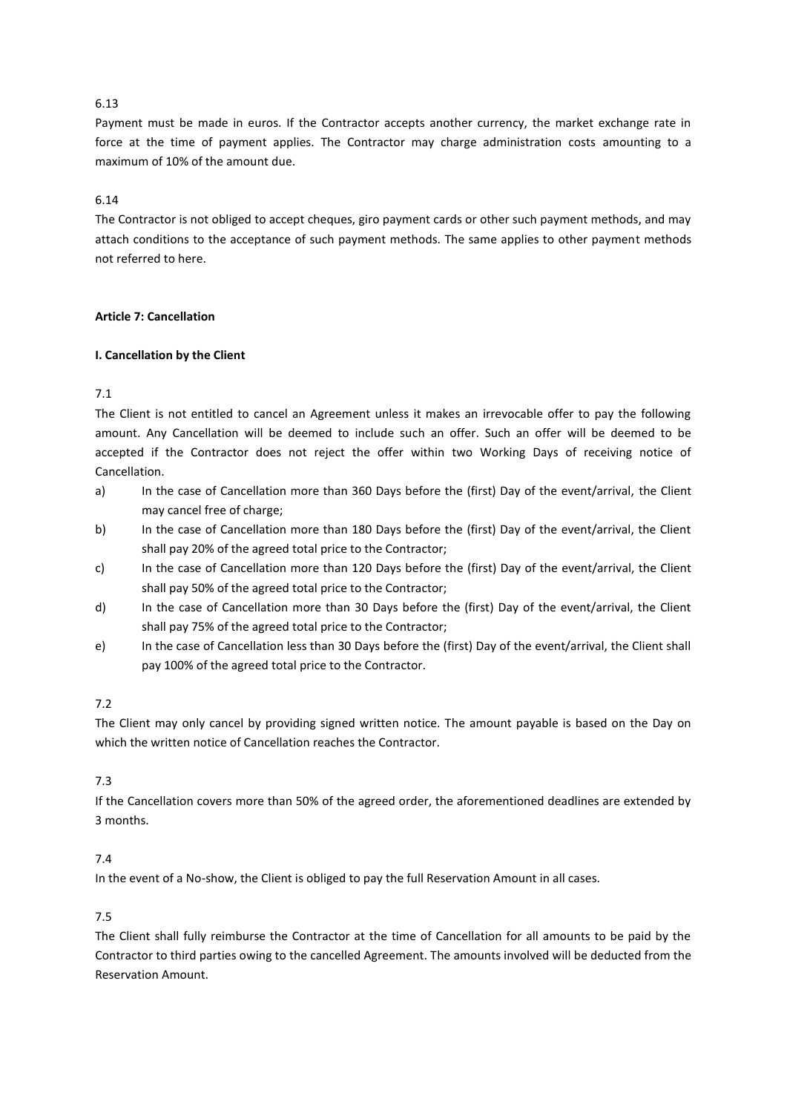Payment must be made in euros. If the Contractor accepts another currency, the market exchange rate in force at the time of payment applies. The Contractor may charge administration costs amounting to a maximum of 10% of the amount due.

# 6.14

The Contractor is not obliged to accept cheques, giro payment cards or other such payment methods, and may attach conditions to the acceptance of such payment methods. The same applies to other payment methods not referred to here.

# **Article 7: Cancellation**

# **I. Cancellation by the Client**

# 7.1

The Client is not entitled to cancel an Agreement unless it makes an irrevocable offer to pay the following amount. Any Cancellation will be deemed to include such an offer. Such an offer will be deemed to be accepted if the Contractor does not reject the offer within two Working Days of receiving notice of Cancellation.

- a) In the case of Cancellation more than 360 Days before the (first) Day of the event/arrival, the Client may cancel free of charge;
- b) In the case of Cancellation more than 180 Days before the (first) Day of the event/arrival, the Client shall pay 20% of the agreed total price to the Contractor;
- c) In the case of Cancellation more than 120 Days before the (first) Day of the event/arrival, the Client shall pay 50% of the agreed total price to the Contractor;
- d) In the case of Cancellation more than 30 Days before the (first) Day of the event/arrival, the Client shall pay 75% of the agreed total price to the Contractor;
- e) In the case of Cancellation less than 30 Days before the (first) Day of the event/arrival, the Client shall pay 100% of the agreed total price to the Contractor.

# 7.2

The Client may only cancel by providing signed written notice. The amount payable is based on the Day on which the written notice of Cancellation reaches the Contractor.

# 7.3

If the Cancellation covers more than 50% of the agreed order, the aforementioned deadlines are extended by 3 months.

# 7.4

In the event of a No-show, the Client is obliged to pay the full Reservation Amount in all cases.

# 7.5

The Client shall fully reimburse the Contractor at the time of Cancellation for all amounts to be paid by the Contractor to third parties owing to the cancelled Agreement. The amounts involved will be deducted from the Reservation Amount.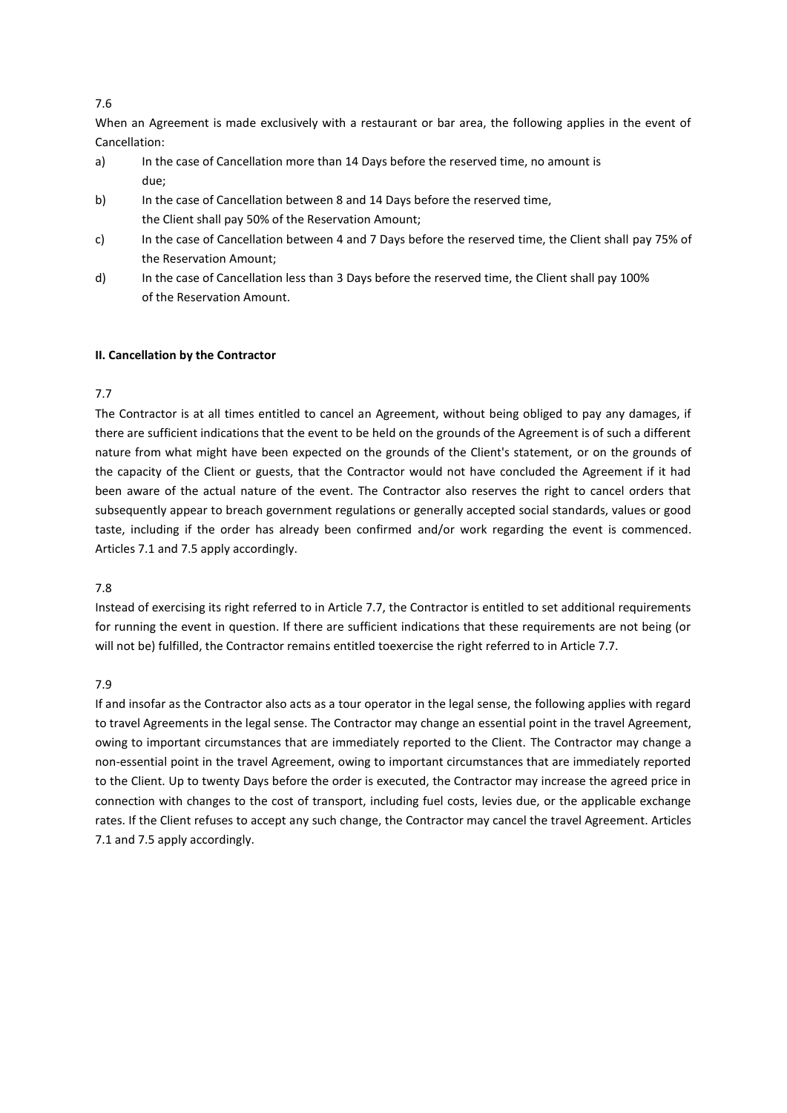When an Agreement is made exclusively with a restaurant or bar area, the following applies in the event of Cancellation:

- a) In the case of Cancellation more than 14 Days before the reserved time, no amount is due;
- b) In the case of Cancellation between 8 and 14 Days before the reserved time, the Client shall pay 50% of the Reservation Amount;
- c) In the case of Cancellation between 4 and 7 Days before the reserved time, the Client shall pay 75% of the Reservation Amount;
- d) In the case of Cancellation less than 3 Days before the reserved time, the Client shall pay 100% of the Reservation Amount.

## **II. Cancellation by the Contractor**

# 7.7

The Contractor is at all times entitled to cancel an Agreement, without being obliged to pay any damages, if there are sufficient indications that the event to be held on the grounds of the Agreement is of such a different nature from what might have been expected on the grounds of the Client's statement, or on the grounds of the capacity of the Client or guests, that the Contractor would not have concluded the Agreement if it had been aware of the actual nature of the event. The Contractor also reserves the right to cancel orders that subsequently appear to breach government regulations or generally accepted social standards, values or good taste, including if the order has already been confirmed and/or work regarding the event is commenced. Articles 7.1 and 7.5 apply accordingly.

## 7.8

Instead of exercising its right referred to in Article 7.7, the Contractor is entitled to set additional requirements for running the event in question. If there are sufficient indications that these requirements are not being (or will not be) fulfilled, the Contractor remains entitled toexercise the right referred to in Article 7.7.

## 7.9

If and insofar as the Contractor also acts as a tour operator in the legal sense, the following applies with regard to travel Agreements in the legal sense. The Contractor may change an essential point in the travel Agreement, owing to important circumstances that are immediately reported to the Client. The Contractor may change a non-essential point in the travel Agreement, owing to important circumstances that are immediately reported to the Client. Up to twenty Days before the order is executed, the Contractor may increase the agreed price in connection with changes to the cost of transport, including fuel costs, levies due, or the applicable exchange rates. If the Client refuses to accept any such change, the Contractor may cancel the travel Agreement. Articles 7.1 and 7.5 apply accordingly.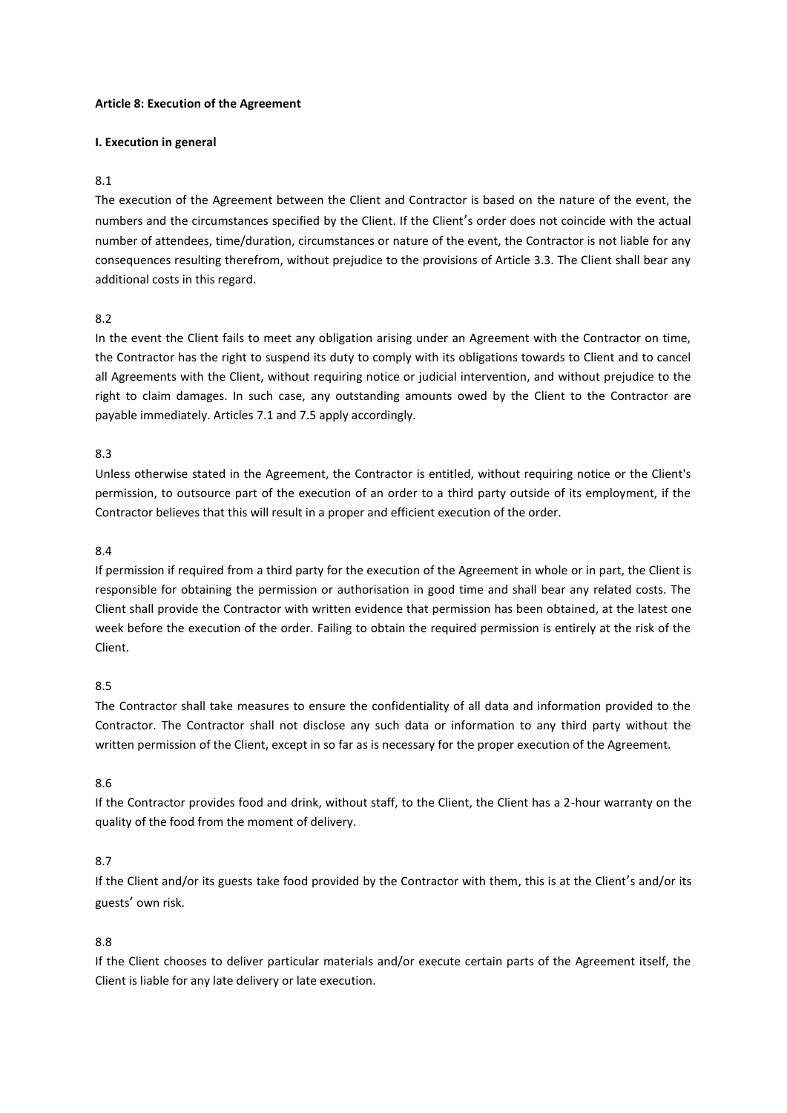### **Article 8: Execution of the Agreement**

#### **I. Execution in general**

### 8.1

The execution of the Agreement between the Client and Contractor is based on the nature of the event, the numbers and the circumstances specified by the Client. If the Client's order does not coincide with the actual number of attendees, time/duration, circumstances or nature of the event, the Contractor is not liable for any consequences resulting therefrom, without prejudice to the provisions of Article 3.3. The Client shall bear any additional costs in this regard.

#### 8.2

In the event the Client fails to meet any obligation arising under an Agreement with the Contractor on time, the Contractor has the right to suspend its duty to comply with its obligations towards to Client and to cancel all Agreements with the Client, without requiring notice or judicial intervention, and without prejudice to the right to claim damages. In such case, any outstanding amounts owed by the Client to the Contractor are payable immediately. Articles 7.1 and 7.5 apply accordingly.

### 8.3

Unless otherwise stated in the Agreement, the Contractor is entitled, without requiring notice or the Client's permission, to outsource part of the execution of an order to a third party outside of its employment, if the Contractor believes that this will result in a proper and efficient execution of the order.

#### 8.4

If permission if required from a third party for the execution of the Agreement in whole or in part, the Client is responsible for obtaining the permission or authorisation in good time and shall bear any related costs. The Client shall provide the Contractor with written evidence that permission has been obtained, at the latest one week before the execution of the order. Failing to obtain the required permission is entirely at the risk of the Client.

# 8.5

The Contractor shall take measures to ensure the confidentiality of all data and information provided to the Contractor. The Contractor shall not disclose any such data or information to any third party without the written permission of the Client, except in so far as is necessary for the proper execution of the Agreement.

#### 8.6

If the Contractor provides food and drink, without staff, to the Client, the Client has a 2-hour warranty on the quality of the food from the moment of delivery.

## 8.7

If the Client and/or its guests take food provided by the Contractor with them, this is at the Client's and/or its guests' own risk.

## 8.8

If the Client chooses to deliver particular materials and/or execute certain parts of the Agreement itself, the Client is liable for any late delivery or late execution.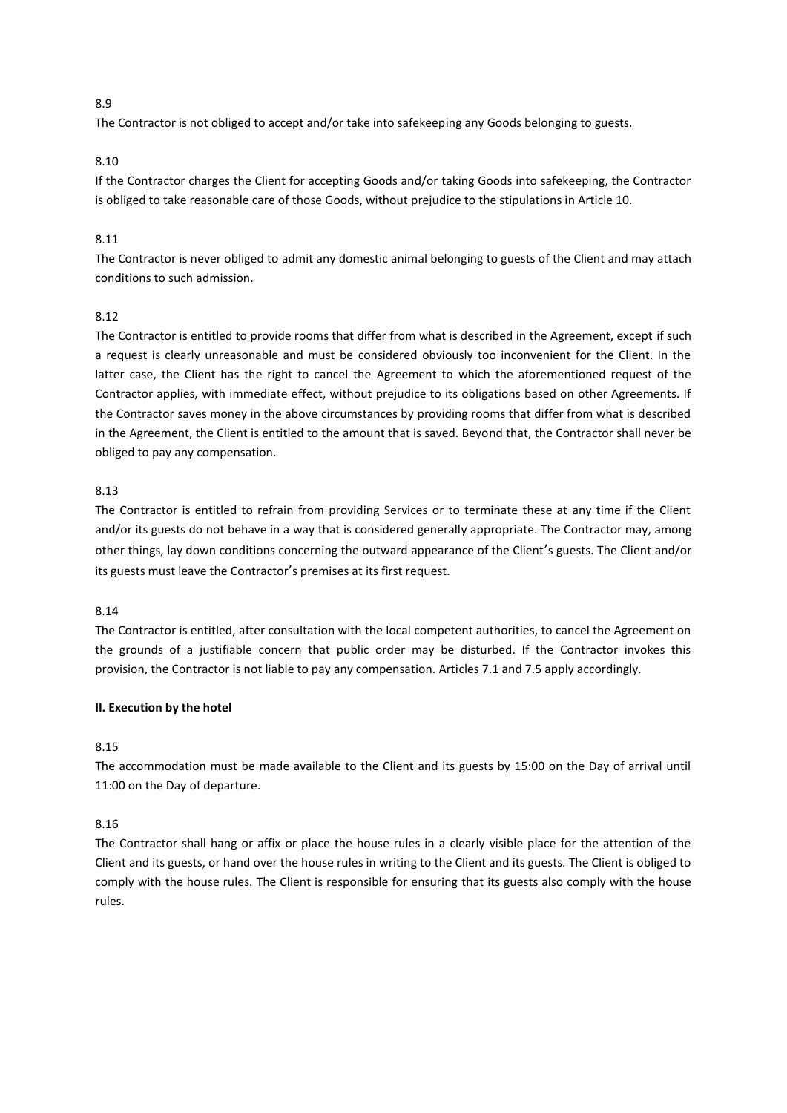The Contractor is not obliged to accept and/or take into safekeeping any Goods belonging to guests.

# 8.10

If the Contractor charges the Client for accepting Goods and/or taking Goods into safekeeping, the Contractor is obliged to take reasonable care of those Goods, without prejudice to the stipulations in Article 10.

# 8.11

The Contractor is never obliged to admit any domestic animal belonging to guests of the Client and may attach conditions to such admission.

# 8.12

The Contractor is entitled to provide rooms that differ from what is described in the Agreement, except if such a request is clearly unreasonable and must be considered obviously too inconvenient for the Client. In the latter case, the Client has the right to cancel the Agreement to which the aforementioned request of the Contractor applies, with immediate effect, without prejudice to its obligations based on other Agreements. If the Contractor saves money in the above circumstances by providing rooms that differ from what is described in the Agreement, the Client is entitled to the amount that is saved. Beyond that, the Contractor shall never be obliged to pay any compensation.

# 8.13

The Contractor is entitled to refrain from providing Services or to terminate these at any time if the Client and/or its guests do not behave in a way that is considered generally appropriate. The Contractor may, among other things, lay down conditions concerning the outward appearance of the Client's guests. The Client and/or its guests must leave the Contractor's premises at its first request.

## 8.14

The Contractor is entitled, after consultation with the local competent authorities, to cancel the Agreement on the grounds of a justifiable concern that public order may be disturbed. If the Contractor invokes this provision, the Contractor is not liable to pay any compensation. Articles 7.1 and 7.5 apply accordingly.

## **II. Execution by the hotel**

## 8.15

The accommodation must be made available to the Client and its guests by 15:00 on the Day of arrival until 11:00 on the Day of departure.

## 8.16

The Contractor shall hang or affix or place the house rules in a clearly visible place for the attention of the Client and its guests, or hand over the house rules in writing to the Client and its guests. The Client is obliged to comply with the house rules. The Client is responsible for ensuring that its guests also comply with the house rules.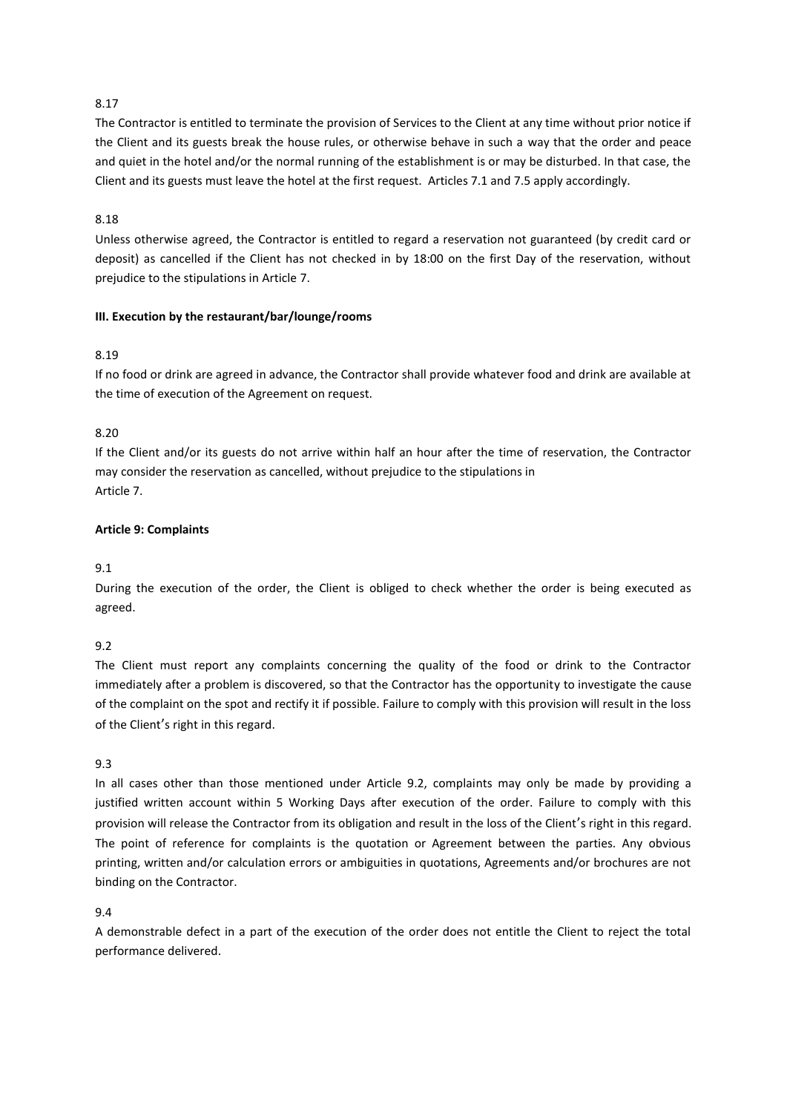The Contractor is entitled to terminate the provision of Services to the Client at any time without prior notice if the Client and its guests break the house rules, or otherwise behave in such a way that the order and peace and quiet in the hotel and/or the normal running of the establishment is or may be disturbed. In that case, the Client and its guests must leave the hotel at the first request. Articles 7.1 and 7.5 apply accordingly.

# 8.18

Unless otherwise agreed, the Contractor is entitled to regard a reservation not guaranteed (by credit card or deposit) as cancelled if the Client has not checked in by 18:00 on the first Day of the reservation, without prejudice to the stipulations in Article 7.

# **III. Execution by the restaurant/bar/lounge/rooms**

# 8.19

If no food or drink are agreed in advance, the Contractor shall provide whatever food and drink are available at the time of execution of the Agreement on request.

# 8.20

If the Client and/or its guests do not arrive within half an hour after the time of reservation, the Contractor may consider the reservation as cancelled, without prejudice to the stipulations in Article 7.

# **Article 9: Complaints**

## 9.1

During the execution of the order, the Client is obliged to check whether the order is being executed as agreed.

# 9.2

The Client must report any complaints concerning the quality of the food or drink to the Contractor immediately after a problem is discovered, so that the Contractor has the opportunity to investigate the cause of the complaint on the spot and rectify it if possible. Failure to comply with this provision will result in the loss of the Client's right in this regard.

## 9.3

In all cases other than those mentioned under Article 9.2, complaints may only be made by providing a justified written account within 5 Working Days after execution of the order. Failure to comply with this provision will release the Contractor from its obligation and result in the loss of the Client's right in this regard. The point of reference for complaints is the quotation or Agreement between the parties. Any obvious printing, written and/or calculation errors or ambiguities in quotations, Agreements and/or brochures are not binding on the Contractor.

## 9.4

A demonstrable defect in a part of the execution of the order does not entitle the Client to reject the total performance delivered.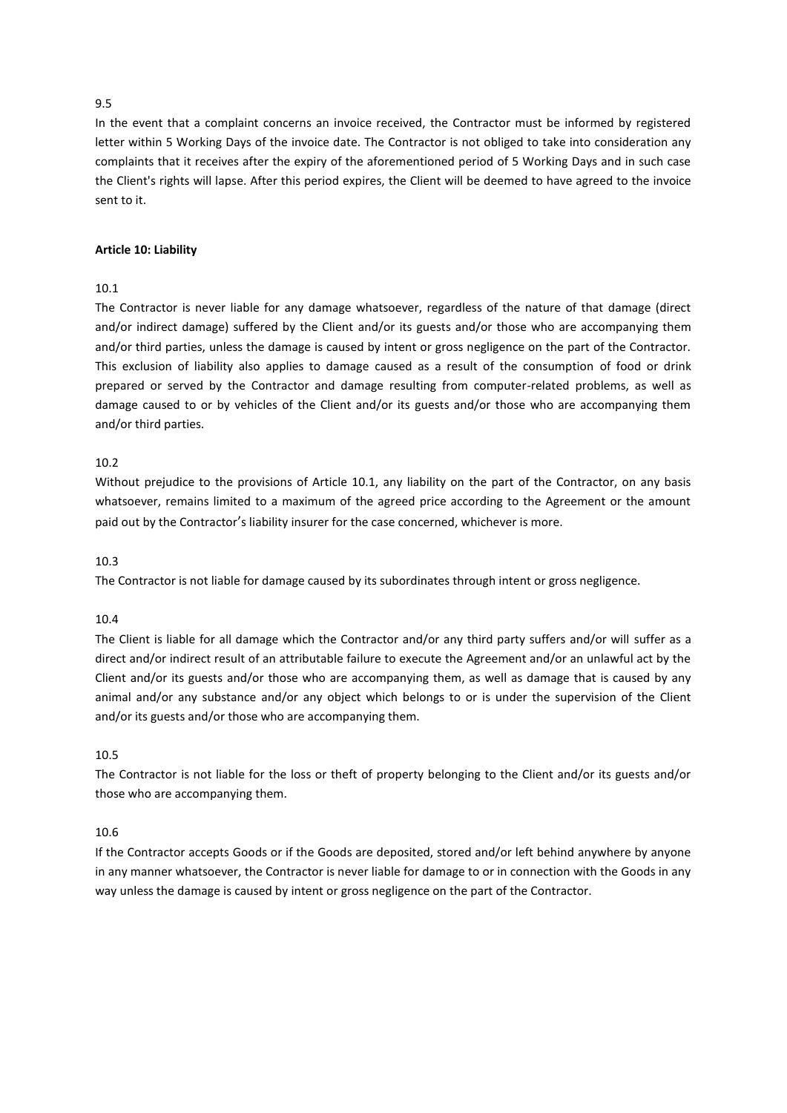In the event that a complaint concerns an invoice received, the Contractor must be informed by registered letter within 5 Working Days of the invoice date. The Contractor is not obliged to take into consideration any complaints that it receives after the expiry of the aforementioned period of 5 Working Days and in such case the Client's rights will lapse. After this period expires, the Client will be deemed to have agreed to the invoice sent to it.

#### **Article 10: Liability**

# 10.1

The Contractor is never liable for any damage whatsoever, regardless of the nature of that damage (direct and/or indirect damage) suffered by the Client and/or its guests and/or those who are accompanying them and/or third parties, unless the damage is caused by intent or gross negligence on the part of the Contractor. This exclusion of liability also applies to damage caused as a result of the consumption of food or drink prepared or served by the Contractor and damage resulting from computer-related problems, as well as damage caused to or by vehicles of the Client and/or its guests and/or those who are accompanying them and/or third parties.

#### 10.2

Without prejudice to the provisions of Article 10.1, any liability on the part of the Contractor, on any basis whatsoever, remains limited to a maximum of the agreed price according to the Agreement or the amount paid out by the Contractor's liability insurer for the case concerned, whichever is more.

## 10.3

The Contractor is not liable for damage caused by its subordinates through intent or gross negligence.

#### 10.4

The Client is liable for all damage which the Contractor and/or any third party suffers and/or will suffer as a direct and/or indirect result of an attributable failure to execute the Agreement and/or an unlawful act by the Client and/or its guests and/or those who are accompanying them, as well as damage that is caused by any animal and/or any substance and/or any object which belongs to or is under the supervision of the Client and/or its guests and/or those who are accompanying them.

# 10.5

The Contractor is not liable for the loss or theft of property belonging to the Client and/or its guests and/or those who are accompanying them.

## 10.6

If the Contractor accepts Goods or if the Goods are deposited, stored and/or left behind anywhere by anyone in any manner whatsoever, the Contractor is never liable for damage to or in connection with the Goods in any way unless the damage is caused by intent or gross negligence on the part of the Contractor.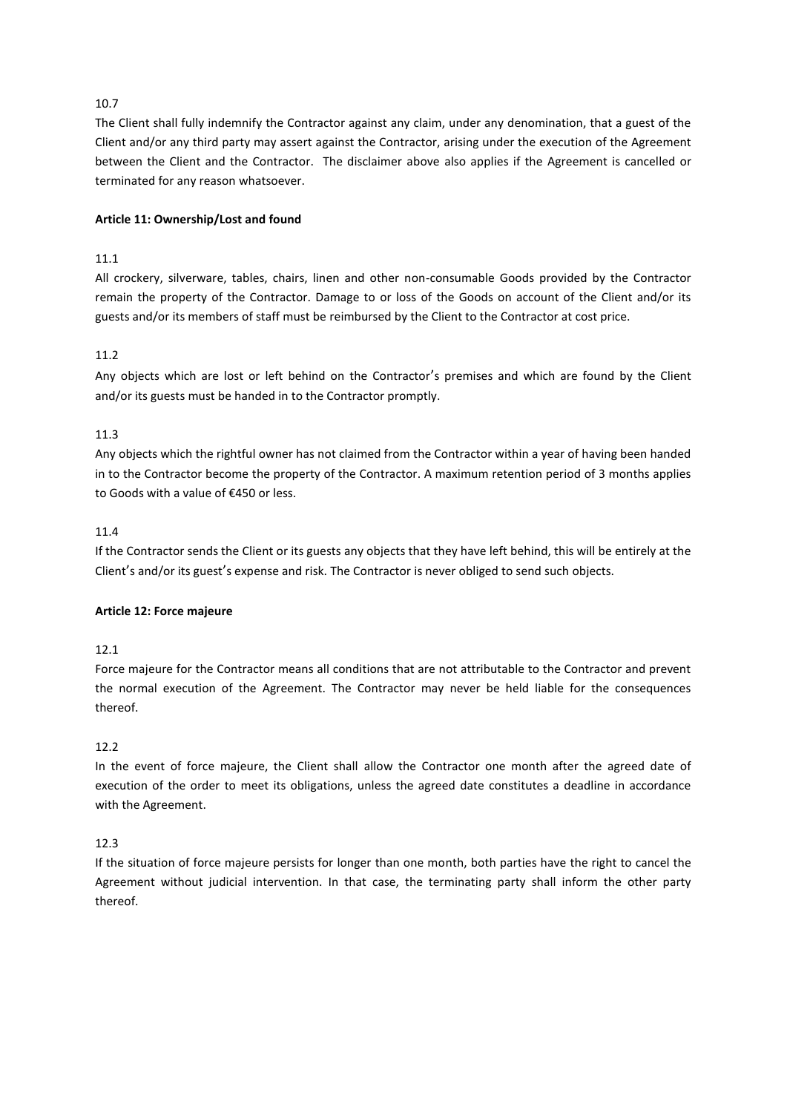The Client shall fully indemnify the Contractor against any claim, under any denomination, that a guest of the Client and/or any third party may assert against the Contractor, arising under the execution of the Agreement between the Client and the Contractor. The disclaimer above also applies if the Agreement is cancelled or terminated for any reason whatsoever.

# **Article 11: Ownership/Lost and found**

# 11.1

All crockery, silverware, tables, chairs, linen and other non-consumable Goods provided by the Contractor remain the property of the Contractor. Damage to or loss of the Goods on account of the Client and/or its guests and/or its members of staff must be reimbursed by the Client to the Contractor at cost price.

# 11.2

Any objects which are lost or left behind on the Contractor's premises and which are found by the Client and/or its guests must be handed in to the Contractor promptly.

# 11.3

Any objects which the rightful owner has not claimed from the Contractor within a year of having been handed in to the Contractor become the property of the Contractor. A maximum retention period of 3 months applies to Goods with a value of €450 or less.

## 11.4

If the Contractor sends the Client or its guests any objects that they have left behind, this will be entirely at the Client's and/or its guest's expense and risk. The Contractor is never obliged to send such objects.

## **Article 12: Force majeure**

# 12.1

Force majeure for the Contractor means all conditions that are not attributable to the Contractor and prevent the normal execution of the Agreement. The Contractor may never be held liable for the consequences thereof.

## 12.2

In the event of force majeure, the Client shall allow the Contractor one month after the agreed date of execution of the order to meet its obligations, unless the agreed date constitutes a deadline in accordance with the Agreement.

## 12.3

If the situation of force majeure persists for longer than one month, both parties have the right to cancel the Agreement without judicial intervention. In that case, the terminating party shall inform the other party thereof.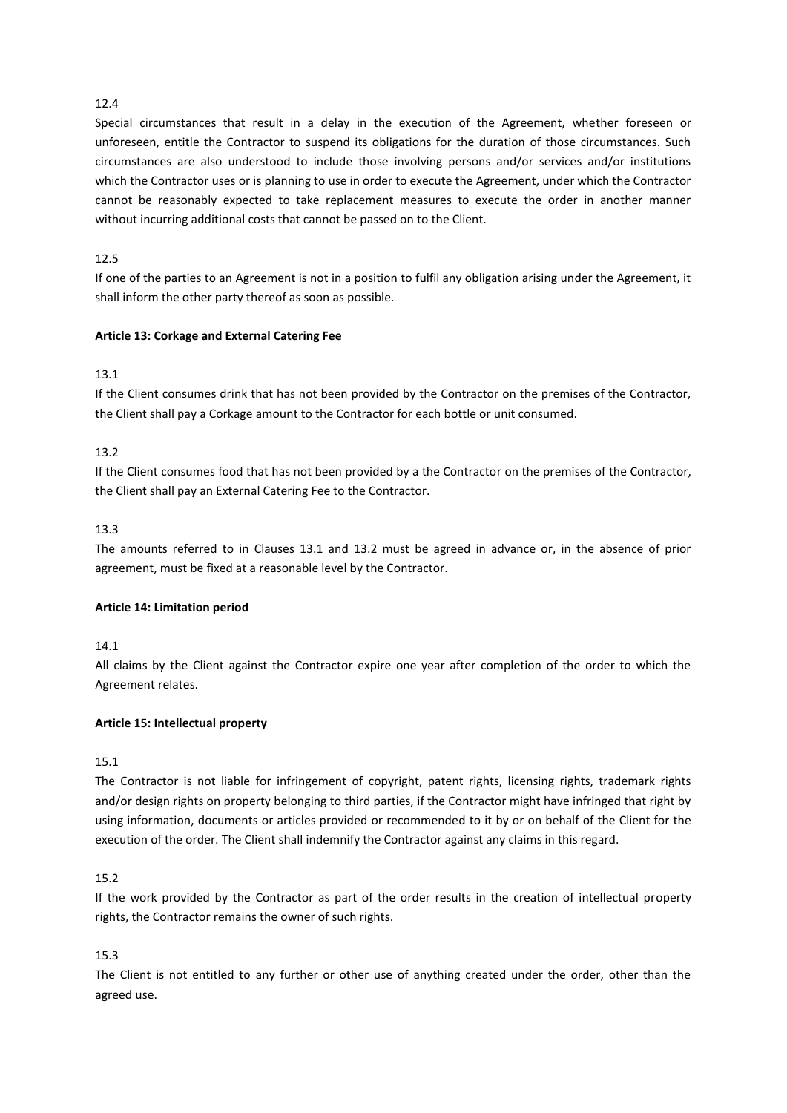Special circumstances that result in a delay in the execution of the Agreement, whether foreseen or unforeseen, entitle the Contractor to suspend its obligations for the duration of those circumstances. Such circumstances are also understood to include those involving persons and/or services and/or institutions which the Contractor uses or is planning to use in order to execute the Agreement, under which the Contractor cannot be reasonably expected to take replacement measures to execute the order in another manner without incurring additional costs that cannot be passed on to the Client.

# 12.5

If one of the parties to an Agreement is not in a position to fulfil any obligation arising under the Agreement, it shall inform the other party thereof as soon as possible.

# **Article 13: Corkage and External Catering Fee**

# 13.1

If the Client consumes drink that has not been provided by the Contractor on the premises of the Contractor, the Client shall pay a Corkage amount to the Contractor for each bottle or unit consumed.

# 13.2

If the Client consumes food that has not been provided by a the Contractor on the premises of the Contractor, the Client shall pay an External Catering Fee to the Contractor.

# 13.3

The amounts referred to in Clauses 13.1 and 13.2 must be agreed in advance or, in the absence of prior agreement, must be fixed at a reasonable level by the Contractor.

## **Article 14: Limitation period**

## 14.1

All claims by the Client against the Contractor expire one year after completion of the order to which the Agreement relates.

## **Article 15: Intellectual property**

## 15.1

The Contractor is not liable for infringement of copyright, patent rights, licensing rights, trademark rights and/or design rights on property belonging to third parties, if the Contractor might have infringed that right by using information, documents or articles provided or recommended to it by or on behalf of the Client for the execution of the order. The Client shall indemnify the Contractor against any claims in this regard.

## 15.2

If the work provided by the Contractor as part of the order results in the creation of intellectual property rights, the Contractor remains the owner of such rights.

# 15.3

The Client is not entitled to any further or other use of anything created under the order, other than the agreed use.